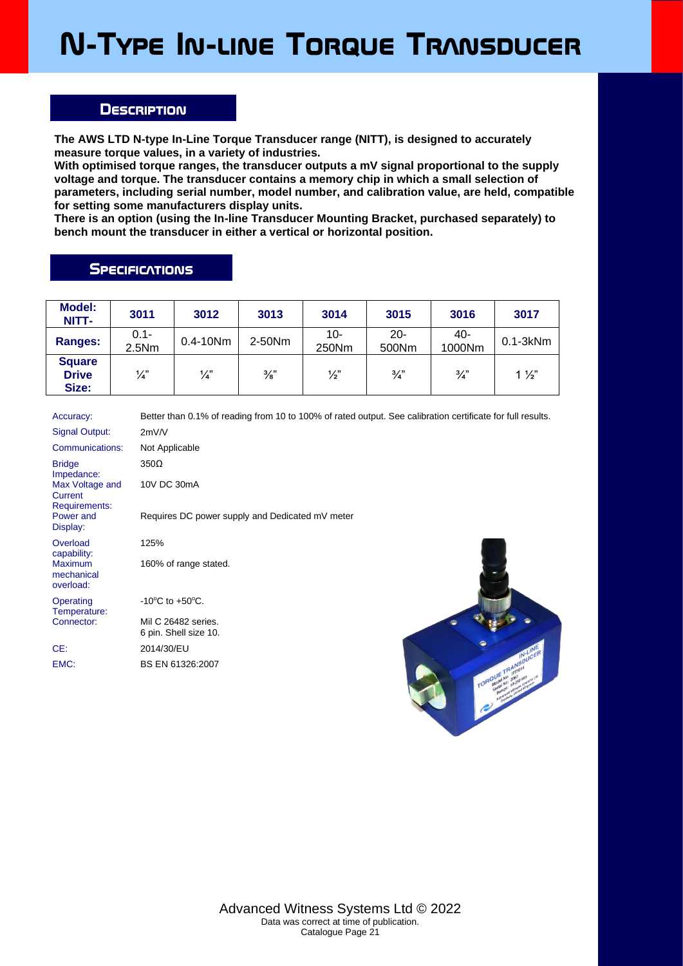## **N-Type In-line Torque Transducer**

## **Description**

**The AWS LTD N-type In-Line Torque Transducer range (NITT), is designed to accurately measure torque values, in a variety of industries.**

**With optimised torque ranges, the transducer outputs a mV signal proportional to the supply voltage and torque. The transducer contains a memory chip in which a small selection of parameters, including serial number, model number, and calibration value, are held, compatible for setting some manufacturers display units.**

**There is an option (using the In-line Transducer Mounting Bracket, purchased separately) to bench mount the transducer in either a vertical or horizontal position.**

## **SPECIFICATIONS**

EMC: BS EN 61326:2007

| <b>Model:</b><br>NITT-                 | 3011             | 3012          | 3013          | 3014           | 3015            | 3016          | 3017           |
|----------------------------------------|------------------|---------------|---------------|----------------|-----------------|---------------|----------------|
| Ranges:                                | $0.1 -$<br>2.5Nm | $0.4 - 10Nm$  | 2-50Nm        | $10-$<br>250Nm | $20 -$<br>500Nm | -40<br>1000Nm | $0.1 - 3kNm$   |
| <b>Square</b><br><b>Drive</b><br>Size: | $\frac{1}{4}$    | $\frac{1}{4}$ | $\frac{3}{8}$ | $\frac{1}{2}$  | $\frac{3}{4}$   | $\frac{3}{4}$ | $1\frac{1}{2}$ |

Accuracy: Better than 0.1% of reading from 10 to 100% of rated output. See calibration certificate for full results. Signal Output: 2mV/V Communications: Not Applicable **Bridge** Impedance: 350Ω Max Voltage and **Current** Requirements: 10V DC 30mA Power and Display: Requires DC power supply and Dedicated mV meter **Overload** capability: 125% Maximum mechanical overload: 160% of range stated. **Operating** Temperature:<br>Connector:  $-10^{\circ}$ C to  $+50^{\circ}$ C. Mil C 26482 series. 6 pin. Shell size 10. CE: 2014/30/EU